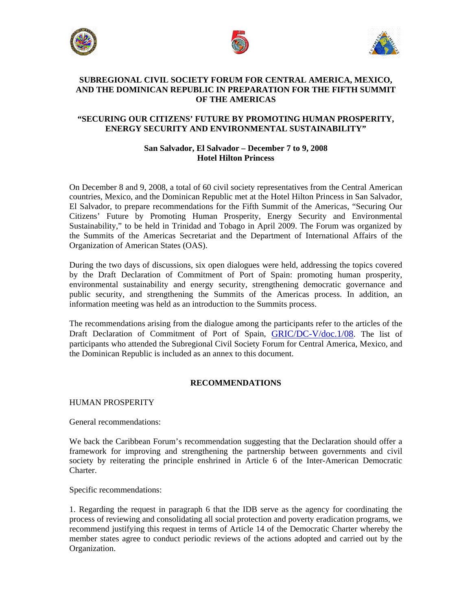





# **SUBREGIONAL CIVIL SOCIETY FORUM FOR CENTRAL AMERICA, MEXICO, AND THE DOMINICAN REPUBLIC IN PREPARATION FOR THE FIFTH SUMMIT OF THE AMERICAS**

# **"SECURING OUR CITIZENS' FUTURE BY PROMOTING HUMAN PROSPERITY, ENERGY SECURITY AND ENVIRONMENTAL SUSTAINABILITY"**

# **San Salvador, El Salvador – December 7 to 9, 2008 Hotel Hilton Princess**

On December 8 and 9, 2008, a total of 60 civil society representatives from the Central American countries, Mexico, and the Dominican Republic met at the Hotel Hilton Princess in San Salvador, El Salvador, to prepare recommendations for the Fifth Summit of the Americas, "Securing Our Citizens' Future by Promoting Human Prosperity, Energy Security and Environmental Sustainability," to be held in Trinidad and Tobago in April 2009. The Forum was organized by the Summits of the Americas Secretariat and the Department of International Affairs of the Organization of American States (OAS).

During the two days of discussions, six open dialogues were held, addressing the topics covered by the Draft Declaration of Commitment of Port of Spain: promoting human prosperity, environmental sustainability and energy security, strengthening democratic governance and public security, and strengthening the Summits of the Americas process. In addition, an information meeting was held as an introduction to the Summits process.

The recommendations arising from the dialogue among the participants refer to the articles of the Draft Declaration of Commitment of Port of Spain, [GRIC/DC-V/doc.1/08.](http://www.summit-americas.org/SIRG/SIRG_0708/V_Summit_Draft_Decl_Commitment_POS_0708_En.pdf) The list of participants who attended the Subregional Civil Society Forum for Central America, Mexico, and the Dominican Republic is included as an annex to this document.

# **RECOMMENDATIONS**

HUMAN PROSPERITY

General recommendations:

We back the Caribbean Forum's recommendation suggesting that the Declaration should offer a framework for improving and strengthening the partnership between governments and civil society by reiterating the principle enshrined in Article 6 of the Inter-American Democratic **Charter** 

Specific recommendations:

1. Regarding the request in paragraph 6 that the IDB serve as the agency for coordinating the process of reviewing and consolidating all social protection and poverty eradication programs, we recommend justifying this request in terms of Article 14 of the Democratic Charter whereby the member states agree to conduct periodic reviews of the actions adopted and carried out by the Organization.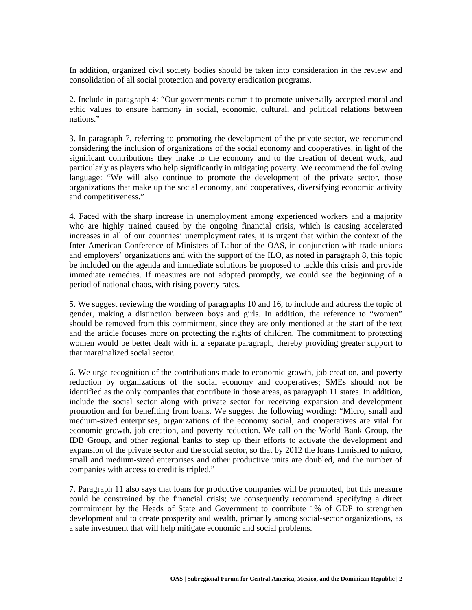In addition, organized civil society bodies should be taken into consideration in the review and consolidation of all social protection and poverty eradication programs.

2. Include in paragraph 4: "Our governments commit to promote universally accepted moral and ethic values to ensure harmony in social, economic, cultural, and political relations between nations."

3. In paragraph 7, referring to promoting the development of the private sector, we recommend considering the inclusion of organizations of the social economy and cooperatives, in light of the significant contributions they make to the economy and to the creation of decent work, and particularly as players who help significantly in mitigating poverty. We recommend the following language: "We will also continue to promote the development of the private sector, those organizations that make up the social economy, and cooperatives, diversifying economic activity and competitiveness."

4. Faced with the sharp increase in unemployment among experienced workers and a majority who are highly trained caused by the ongoing financial crisis, which is causing accelerated increases in all of our countries' unemployment rates, it is urgent that within the context of the Inter-American Conference of Ministers of Labor of the OAS, in conjunction with trade unions and employers' organizations and with the support of the ILO, as noted in paragraph 8, this topic be included on the agenda and immediate solutions be proposed to tackle this crisis and provide immediate remedies. If measures are not adopted promptly, we could see the beginning of a period of national chaos, with rising poverty rates.

5. We suggest reviewing the wording of paragraphs 10 and 16, to include and address the topic of gender, making a distinction between boys and girls. In addition, the reference to "women" should be removed from this commitment, since they are only mentioned at the start of the text and the article focuses more on protecting the rights of children. The commitment to protecting women would be better dealt with in a separate paragraph, thereby providing greater support to that marginalized social sector.

6. We urge recognition of the contributions made to economic growth, job creation, and poverty reduction by organizations of the social economy and cooperatives; SMEs should not be identified as the only companies that contribute in those areas, as paragraph 11 states. In addition, include the social sector along with private sector for receiving expansion and development promotion and for benefiting from loans. We suggest the following wording: "Micro, small and medium-sized enterprises, organizations of the economy social, and cooperatives are vital for economic growth, job creation, and poverty reduction. We call on the World Bank Group, the IDB Group, and other regional banks to step up their efforts to activate the development and expansion of the private sector and the social sector, so that by 2012 the loans furnished to micro, small and medium-sized enterprises and other productive units are doubled, and the number of companies with access to credit is tripled."

7. Paragraph 11 also says that loans for productive companies will be promoted, but this measure could be constrained by the financial crisis; we consequently recommend specifying a direct commitment by the Heads of State and Government to contribute 1% of GDP to strengthen development and to create prosperity and wealth, primarily among social-sector organizations, as a safe investment that will help mitigate economic and social problems.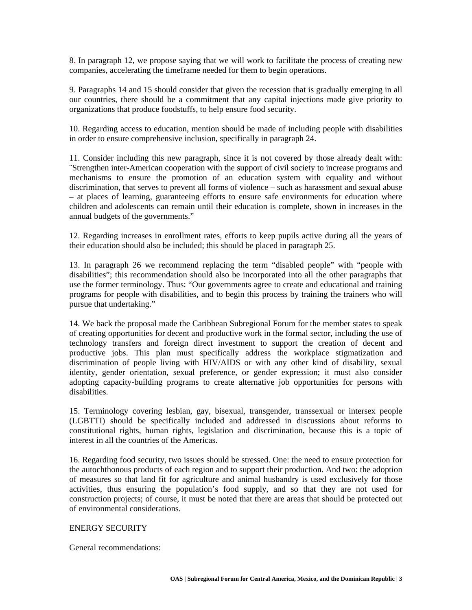8. In paragraph 12, we propose saying that we will work to facilitate the process of creating new companies, accelerating the timeframe needed for them to begin operations.

9. Paragraphs 14 and 15 should consider that given the recession that is gradually emerging in all our countries, there should be a commitment that any capital injections made give priority to organizations that produce foodstuffs, to help ensure food security.

10. Regarding access to education, mention should be made of including people with disabilities in order to ensure comprehensive inclusion, specifically in paragraph 24.

11. Consider including this new paragraph, since it is not covered by those already dealt with: ¨Strengthen inter-American cooperation with the support of civil society to increase programs and mechanisms to ensure the promotion of an education system with equality and without discrimination, that serves to prevent all forms of violence – such as harassment and sexual abuse – at places of learning, guaranteeing efforts to ensure safe environments for education where children and adolescents can remain until their education is complete, shown in increases in the annual budgets of the governments."

12. Regarding increases in enrollment rates, efforts to keep pupils active during all the years of their education should also be included; this should be placed in paragraph 25.

13. In paragraph 26 we recommend replacing the term "disabled people" with "people with disabilities"; this recommendation should also be incorporated into all the other paragraphs that use the former terminology. Thus: "Our governments agree to create and educational and training programs for people with disabilities, and to begin this process by training the trainers who will pursue that undertaking."

14. We back the proposal made the Caribbean Subregional Forum for the member states to speak of creating opportunities for decent and productive work in the formal sector, including the use of technology transfers and foreign direct investment to support the creation of decent and productive jobs. This plan must specifically address the workplace stigmatization and discrimination of people living with HIV/AIDS or with any other kind of disability, sexual identity, gender orientation, sexual preference, or gender expression; it must also consider adopting capacity-building programs to create alternative job opportunities for persons with disabilities.

15. Terminology covering lesbian, gay, bisexual, transgender, transsexual or intersex people (LGBTTI) should be specifically included and addressed in discussions about reforms to constitutional rights, human rights, legislation and discrimination, because this is a topic of interest in all the countries of the Americas.

16. Regarding food security, two issues should be stressed. One: the need to ensure protection for the autochthonous products of each region and to support their production. And two: the adoption of measures so that land fit for agriculture and animal husbandry is used exclusively for those activities, thus ensuring the population's food supply, and so that they are not used for construction projects; of course, it must be noted that there are areas that should be protected out of environmental considerations.

# ENERGY SECURITY

General recommendations: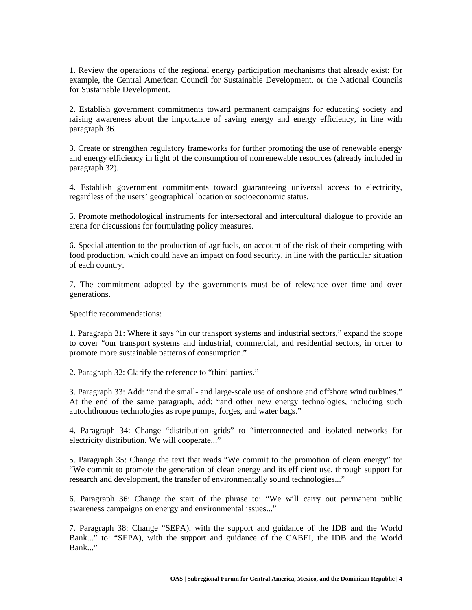1. Review the operations of the regional energy participation mechanisms that already exist: for example, the Central American Council for Sustainable Development, or the National Councils for Sustainable Development.

2. Establish government commitments toward permanent campaigns for educating society and raising awareness about the importance of saving energy and energy efficiency, in line with paragraph 36.

3. Create or strengthen regulatory frameworks for further promoting the use of renewable energy and energy efficiency in light of the consumption of nonrenewable resources (already included in paragraph 32).

4. Establish government commitments toward guaranteeing universal access to electricity, regardless of the users' geographical location or socioeconomic status.

5. Promote methodological instruments for intersectoral and intercultural dialogue to provide an arena for discussions for formulating policy measures.

6. Special attention to the production of agrifuels, on account of the risk of their competing with food production, which could have an impact on food security, in line with the particular situation of each country.

7. The commitment adopted by the governments must be of relevance over time and over generations.

Specific recommendations:

1. Paragraph 31: Where it says "in our transport systems and industrial sectors," expand the scope to cover "our transport systems and industrial, commercial, and residential sectors, in order to promote more sustainable patterns of consumption."

2. Paragraph 32: Clarify the reference to "third parties."

3. Paragraph 33: Add: "and the small- and large-scale use of onshore and offshore wind turbines." At the end of the same paragraph, add: "and other new energy technologies, including such autochthonous technologies as rope pumps, forges, and water bags."

4. Paragraph 34: Change "distribution grids" to "interconnected and isolated networks for electricity distribution. We will cooperate..."

5. Paragraph 35: Change the text that reads "We commit to the promotion of clean energy" to: "We commit to promote the generation of clean energy and its efficient use, through support for research and development, the transfer of environmentally sound technologies..."

6. Paragraph 36: Change the start of the phrase to: "We will carry out permanent public awareness campaigns on energy and environmental issues..."

7. Paragraph 38: Change "SEPA), with the support and guidance of the IDB and the World Bank..." to: "SEPA), with the support and guidance of the CABEI, the IDB and the World Bank..."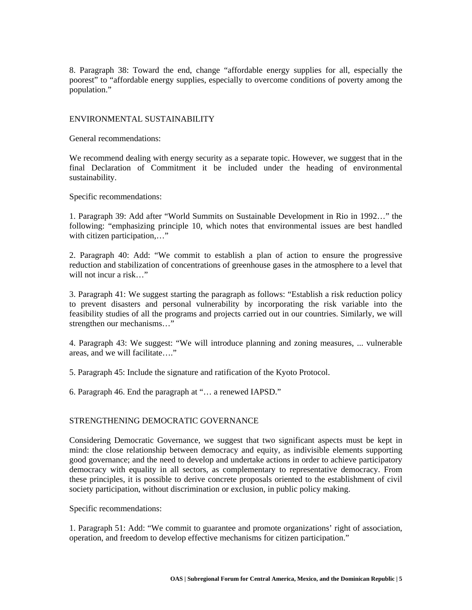8. Paragraph 38: Toward the end, change "affordable energy supplies for all, especially the poorest" to "affordable energy supplies, especially to overcome conditions of poverty among the population."

### ENVIRONMENTAL SUSTAINABILITY

General recommendations:

We recommend dealing with energy security as a separate topic. However, we suggest that in the final Declaration of Commitment it be included under the heading of environmental sustainability.

Specific recommendations:

1. Paragraph 39: Add after "World Summits on Sustainable Development in Rio in 1992…" the following: "emphasizing principle 10, which notes that environmental issues are best handled with citizen participation,..."

2. Paragraph 40: Add: "We commit to establish a plan of action to ensure the progressive reduction and stabilization of concentrations of greenhouse gases in the atmosphere to a level that will not incur a risk..."

3. Paragraph 41: We suggest starting the paragraph as follows: "Establish a risk reduction policy to prevent disasters and personal vulnerability by incorporating the risk variable into the feasibility studies of all the programs and projects carried out in our countries. Similarly, we will strengthen our mechanisms…"

4. Paragraph 43: We suggest: "We will introduce planning and zoning measures, ... vulnerable areas, and we will facilitate…."

5. Paragraph 45: Include the signature and ratification of the Kyoto Protocol.

6. Paragraph 46. End the paragraph at "… a renewed IAPSD."

# STRENGTHENING DEMOCRATIC GOVERNANCE

Considering Democratic Governance, we suggest that two significant aspects must be kept in mind: the close relationship between democracy and equity, as indivisible elements supporting good governance; and the need to develop and undertake actions in order to achieve participatory democracy with equality in all sectors, as complementary to representative democracy. From these principles, it is possible to derive concrete proposals oriented to the establishment of civil society participation, without discrimination or exclusion, in public policy making.

Specific recommendations:

1. Paragraph 51: Add: "We commit to guarantee and promote organizations' right of association, operation, and freedom to develop effective mechanisms for citizen participation."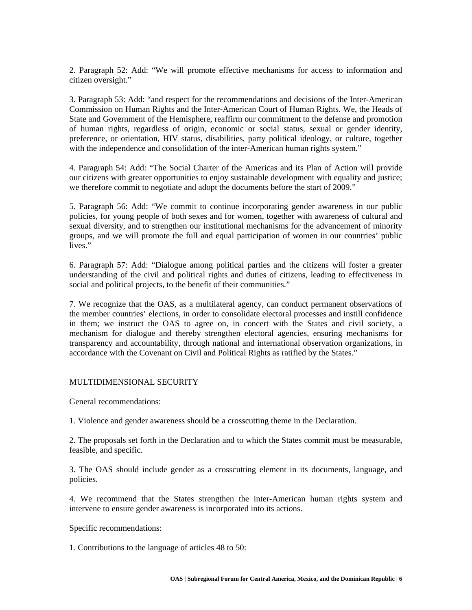2. Paragraph 52: Add: "We will promote effective mechanisms for access to information and citizen oversight."

3. Paragraph 53: Add: "and respect for the recommendations and decisions of the Inter-American Commission on Human Rights and the Inter-American Court of Human Rights. We, the Heads of State and Government of the Hemisphere, reaffirm our commitment to the defense and promotion of human rights, regardless of origin, economic or social status, sexual or gender identity, preference, or orientation, HIV status, disabilities, party political ideology, or culture, together with the independence and consolidation of the inter-American human rights system."

4. Paragraph 54: Add: "The Social Charter of the Americas and its Plan of Action will provide our citizens with greater opportunities to enjoy sustainable development with equality and justice; we therefore commit to negotiate and adopt the documents before the start of 2009."

5. Paragraph 56: Add: "We commit to continue incorporating gender awareness in our public policies, for young people of both sexes and for women, together with awareness of cultural and sexual diversity, and to strengthen our institutional mechanisms for the advancement of minority groups, and we will promote the full and equal participation of women in our countries' public lives."

6. Paragraph 57: Add: "Dialogue among political parties and the citizens will foster a greater understanding of the civil and political rights and duties of citizens, leading to effectiveness in social and political projects, to the benefit of their communities."

7. We recognize that the OAS, as a multilateral agency, can conduct permanent observations of the member countries' elections, in order to consolidate electoral processes and instill confidence in them; we instruct the OAS to agree on, in concert with the States and civil society, a mechanism for dialogue and thereby strengthen electoral agencies, ensuring mechanisms for transparency and accountability, through national and international observation organizations, in accordance with the Covenant on Civil and Political Rights as ratified by the States."

#### MULTIDIMENSIONAL SECURITY

General recommendations:

1. Violence and gender awareness should be a crosscutting theme in the Declaration.

2. The proposals set forth in the Declaration and to which the States commit must be measurable, feasible, and specific.

3. The OAS should include gender as a crosscutting element in its documents, language, and policies.

4. We recommend that the States strengthen the inter-American human rights system and intervene to ensure gender awareness is incorporated into its actions.

Specific recommendations:

1. Contributions to the language of articles 48 to 50: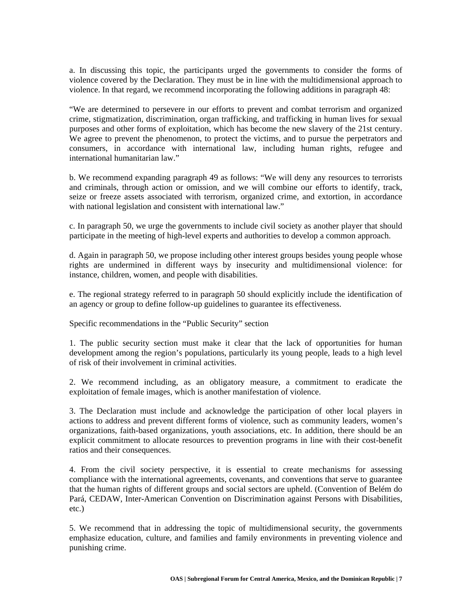a. In discussing this topic, the participants urged the governments to consider the forms of violence covered by the Declaration. They must be in line with the multidimensional approach to violence. In that regard, we recommend incorporating the following additions in paragraph 48:

"We are determined to persevere in our efforts to prevent and combat terrorism and organized crime, stigmatization, discrimination, organ trafficking, and trafficking in human lives for sexual purposes and other forms of exploitation, which has become the new slavery of the 21st century. We agree to prevent the phenomenon, to protect the victims, and to pursue the perpetrators and consumers, in accordance with international law, including human rights, refugee and international humanitarian law."

b. We recommend expanding paragraph 49 as follows: "We will deny any resources to terrorists and criminals, through action or omission, and we will combine our efforts to identify, track, seize or freeze assets associated with terrorism, organized crime, and extortion, in accordance with national legislation and consistent with international law."

c. In paragraph 50, we urge the governments to include civil society as another player that should participate in the meeting of high-level experts and authorities to develop a common approach.

d. Again in paragraph 50, we propose including other interest groups besides young people whose rights are undermined in different ways by insecurity and multidimensional violence: for instance, children, women, and people with disabilities.

e. The regional strategy referred to in paragraph 50 should explicitly include the identification of an agency or group to define follow-up guidelines to guarantee its effectiveness.

Specific recommendations in the "Public Security" section

1. The public security section must make it clear that the lack of opportunities for human development among the region's populations, particularly its young people, leads to a high level of risk of their involvement in criminal activities.

2. We recommend including, as an obligatory measure, a commitment to eradicate the exploitation of female images, which is another manifestation of violence.

3. The Declaration must include and acknowledge the participation of other local players in actions to address and prevent different forms of violence, such as community leaders, women's organizations, faith-based organizations, youth associations, etc. In addition, there should be an explicit commitment to allocate resources to prevention programs in line with their cost-benefit ratios and their consequences.

4. From the civil society perspective, it is essential to create mechanisms for assessing compliance with the international agreements, covenants, and conventions that serve to guarantee that the human rights of different groups and social sectors are upheld. (Convention of Belém do Pará, CEDAW, Inter-American Convention on Discrimination against Persons with Disabilities, etc.)

5. We recommend that in addressing the topic of multidimensional security, the governments emphasize education, culture, and families and family environments in preventing violence and punishing crime.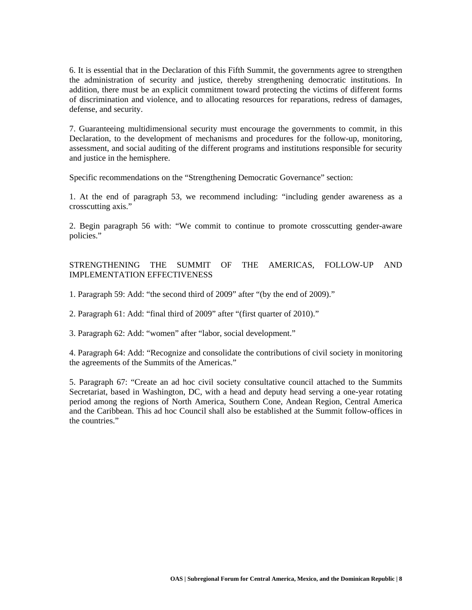6. It is essential that in the Declaration of this Fifth Summit, the governments agree to strengthen the administration of security and justice, thereby strengthening democratic institutions. In addition, there must be an explicit commitment toward protecting the victims of different forms of discrimination and violence, and to allocating resources for reparations, redress of damages, defense, and security.

7. Guaranteeing multidimensional security must encourage the governments to commit, in this Declaration, to the development of mechanisms and procedures for the follow-up, monitoring, assessment, and social auditing of the different programs and institutions responsible for security and justice in the hemisphere.

Specific recommendations on the "Strengthening Democratic Governance" section:

1. At the end of paragraph 53, we recommend including: "including gender awareness as a crosscutting axis."

2. Begin paragraph 56 with: "We commit to continue to promote crosscutting gender-aware policies."

# STRENGTHENING THE SUMMIT OF THE AMERICAS, FOLLOW-UP AND IMPLEMENTATION EFFECTIVENESS

1. Paragraph 59: Add: "the second third of 2009" after "(by the end of 2009)."

2. Paragraph 61: Add: "final third of 2009" after "(first quarter of 2010)."

3. Paragraph 62: Add: "women" after "labor, social development."

4. Paragraph 64: Add: "Recognize and consolidate the contributions of civil society in monitoring the agreements of the Summits of the Americas."

5. Paragraph 67: "Create an ad hoc civil society consultative council attached to the Summits Secretariat, based in Washington, DC, with a head and deputy head serving a one-year rotating period among the regions of North America, Southern Cone, Andean Region, Central America and the Caribbean. This ad hoc Council shall also be established at the Summit follow-offices in the countries."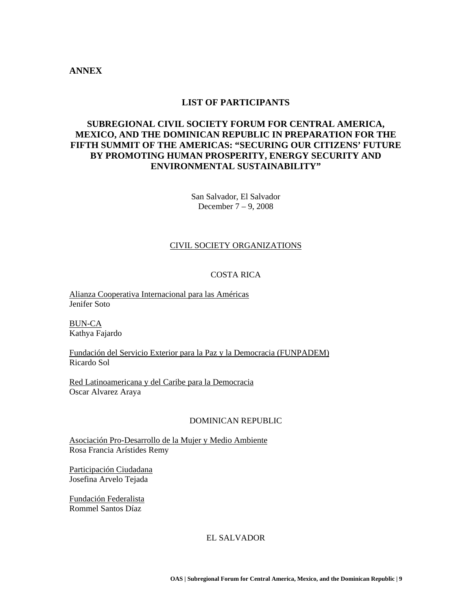# **ANNEX**

# **LIST OF PARTICIPANTS**

# **SUBREGIONAL CIVIL SOCIETY FORUM FOR CENTRAL AMERICA, MEXICO, AND THE DOMINICAN REPUBLIC IN PREPARATION FOR THE FIFTH SUMMIT OF THE AMERICAS: "SECURING OUR CITIZENS' FUTURE BY PROMOTING HUMAN PROSPERITY, ENERGY SECURITY AND ENVIRONMENTAL SUSTAINABILITY"**

San Salvador, El Salvador December 7 – 9, 2008

#### CIVIL SOCIETY ORGANIZATIONS

# COSTA RICA

Alianza Cooperativa Internacional para las Américas Jenifer Soto

BUN-CA Kathya Fajardo

Fundación del Servicio Exterior para la Paz y la Democracia (FUNPADEM) Ricardo Sol

Red Latinoamericana y del Caribe para la Democracia Oscar Alvarez Araya

#### DOMINICAN REPUBLIC

Asociación Pro-Desarrollo de la Mujer y Medio Ambiente Rosa Francia Arístides Remy

Participación Ciudadana Josefina Arvelo Tejada

Fundación Federalista Rommel Santos Díaz

EL SALVADOR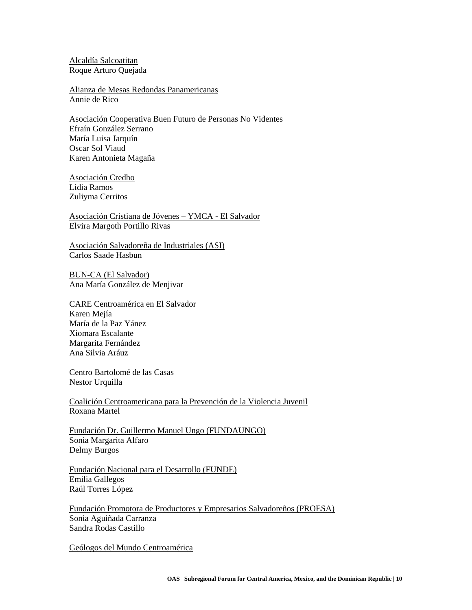Alcaldía Salcoatitan Roque Arturo Quejada

Alianza de Mesas Redondas Panamericanas Annie de Rico

Asociación Cooperativa Buen Futuro de Personas No Videntes Efraín González Serrano María Luisa Jarquín Oscar Sol Viaud Karen Antonieta Magaña

Asociación Credho Lidia Ramos Zuliyma Cerritos

Asociación Cristiana de Jóvenes – YMCA - El Salvador Elvira Margoth Portillo Rivas

Asociación Salvadoreña de Industriales (ASI) Carlos Saade Hasbun

BUN-CA (El Salvador) Ana María González de Menjivar

CARE Centroamérica en El Salvador Karen Mejía María de la Paz Yánez Xiomara Escalante Margarita Fernández Ana Silvia Aráuz

Centro Bartolomé de las Casas Nestor Urquilla

Coalición Centroamericana para la Prevención de la Violencia Juvenil Roxana Martel

Fundación Dr. Guillermo Manuel Ungo (FUNDAUNGO) Sonia Margarita Alfaro Delmy Burgos

Fundación Nacional para el Desarrollo (FUNDE) Emilia Gallegos Raúl Torres López

Fundación Promotora de Productores y Empresarios Salvadoreños (PROESA) Sonia Aguiñada Carranza Sandra Rodas Castillo

Geólogos del Mundo Centroamérica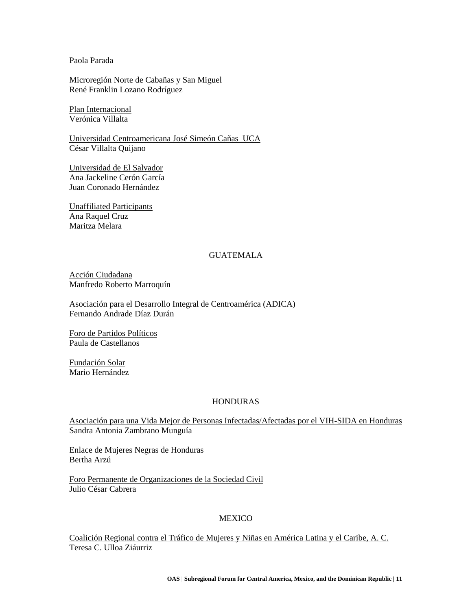### Paola Parada

Microregión Norte de Cabañas y San Miguel René Franklin Lozano Rodríguez

Plan Internacional Verónica Villalta

Universidad Centroamericana José Simeón Cañas UCA César Villalta Quijano

Universidad de El Salvador Ana Jackeline Cerón García Juan Coronado Hernández

Unaffiliated Participants Ana Raquel Cruz Maritza Melara

### GUATEMALA

Acción Ciudadana Manfredo Roberto Marroquín

Asociación para el Desarrollo Integral de Centroamérica (ADICA) Fernando Andrade Díaz Durán

Foro de Partidos Políticos Paula de Castellanos

Fundación Solar Mario Hernández

#### HONDURAS

Asociación para una Vida Mejor de Personas Infectadas/Afectadas por el VIH-SIDA en Honduras Sandra Antonia Zambrano Munguía

Enlace de Mujeres Negras de Honduras Bertha Arzú

Foro Permanente de Organizaciones de la Sociedad Civil Julio César Cabrera

# **MEXICO**

Coalición Regional contra el Tráfico de Mujeres y Niñas en América Latina y el Caribe, A. C. Teresa C. Ulloa Ziáurriz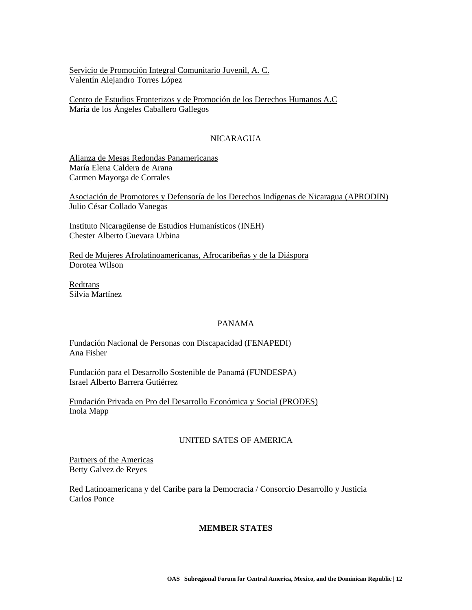Servicio de Promoción Integral Comunitario Juvenil, A. C. Valentín Alejandro Torres López

Centro de Estudios Fronterizos y de Promoción de los Derechos Humanos A.C María de los Ángeles Caballero Gallegos

### NICARAGUA

Alianza de Mesas Redondas Panamericanas María Elena Caldera de Arana Carmen Mayorga de Corrales

Asociación de Promotores y Defensoría de los Derechos Indígenas de Nicaragua (APRODIN) Julio César Collado Vanegas

Instituto Nicaragüense de Estudios Humanísticos (INEH) Chester Alberto Guevara Urbina

Red de Mujeres Afrolatinoamericanas, Afrocaribeñas y de la Diáspora Dorotea Wilson

Redtrans Silvia Martínez

#### PANAMA

Fundación Nacional de Personas con Discapacidad (FENAPEDI) Ana Fisher

Fundación para el Desarrollo Sostenible de Panamá (FUNDESPA) Israel Alberto Barrera Gutiérrez

Fundación Privada en Pro del Desarrollo Económica y Social (PRODES) Inola Mapp

# UNITED SATES OF AMERICA

Partners of the Americas Betty Galvez de Reyes

Red Latinoamericana y del Caribe para la Democracia / Consorcio Desarrollo y Justicia Carlos Ponce

#### **MEMBER STATES**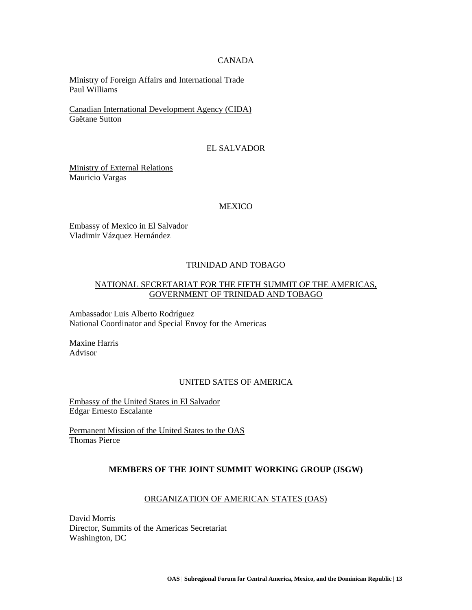#### CANADA

Ministry of Foreign Affairs and International Trade Paul Williams

Canadian International Development Agency (CIDA) Gaëtane Sutton

### EL SALVADOR

Ministry of External Relations Mauricio Vargas

#### **MEXICO**

Embassy of Mexico in El Salvador Vladimir Vázquez Hernández

### TRINIDAD AND TOBAGO

# NATIONAL SECRETARIAT FOR THE FIFTH SUMMIT OF THE AMERICAS, GOVERNMENT OF TRINIDAD AND TOBAGO

Ambassador Luis Alberto Rodríguez National Coordinator and Special Envoy for the Americas

Maxine Harris Advisor

# UNITED SATES OF AMERICA

Embassy of the United States in El Salvador Edgar Ernesto Escalante

Permanent Mission of the United States to the OAS Thomas Pierce

#### **MEMBERS OF THE JOINT SUMMIT WORKING GROUP (JSGW)**

### ORGANIZATION OF AMERICAN STATES (OAS)

David Morris Director, Summits of the Americas Secretariat Washington, DC